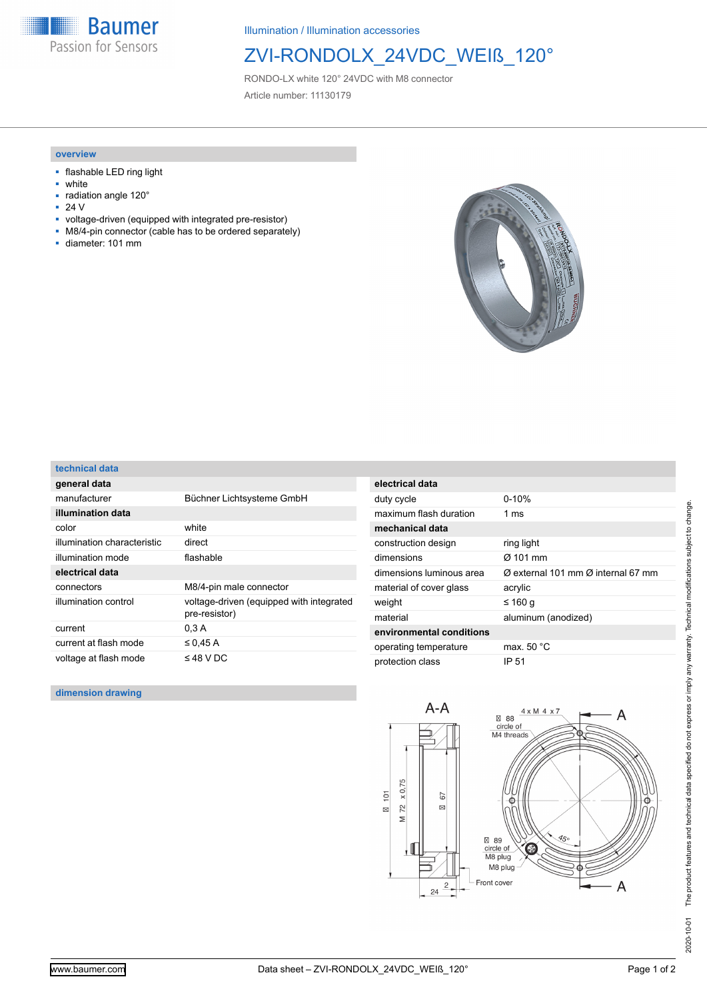**Baumer** Passion for Sensors

Illumination / Illumination accessories

## ZVI-RONDOLX\_24VDC\_WEIß\_120°

RONDO-LX white 120° 24VDC with M8 connector Article number: 11130179

### **overview**

- flashable LED ring light
- white
- radiation angle 120°
- 24 V
- voltage-driven (equipped with integrated pre-resistor)
- M8/4-pin connector (cable has to be ordered separately)
- diameter: 101 mm



#### **technical data**

| general data                |                                                           |
|-----------------------------|-----------------------------------------------------------|
| manufacturer                | Büchner Lichtsysteme GmbH                                 |
| illumination data           |                                                           |
| color                       | white                                                     |
| illumination characteristic | direct                                                    |
| illumination mode           | flashable                                                 |
| electrical data             |                                                           |
| connectors                  | M8/4-pin male connector                                   |
| illumination control        | voltage-driven (equipped with integrated<br>pre-resistor) |
| current                     | 0.3A                                                      |
| current at flash mode       | $\leq$ 0.45 A                                             |
| voltage at flash mode       | $\leq$ 48 V DC                                            |

| electrical data          |                                                            |
|--------------------------|------------------------------------------------------------|
| duty cycle               | $0 - 10%$                                                  |
| maximum flash duration   | 1 $ms$                                                     |
| mechanical data          |                                                            |
| construction design      | ring light                                                 |
| dimensions               | $\alpha$ 101 mm                                            |
| dimensions luminous area | $\varnothing$ external 101 mm $\varnothing$ internal 67 mm |
| material of cover glass  | acrylic                                                    |
| weight                   | ≤ 160 a                                                    |
| material                 | aluminum (anodized)                                        |
| environmental conditions |                                                            |
| operating temperature    | max. $50 °C$                                               |
| protection class         | IP 51                                                      |

#### **dimension drawing**